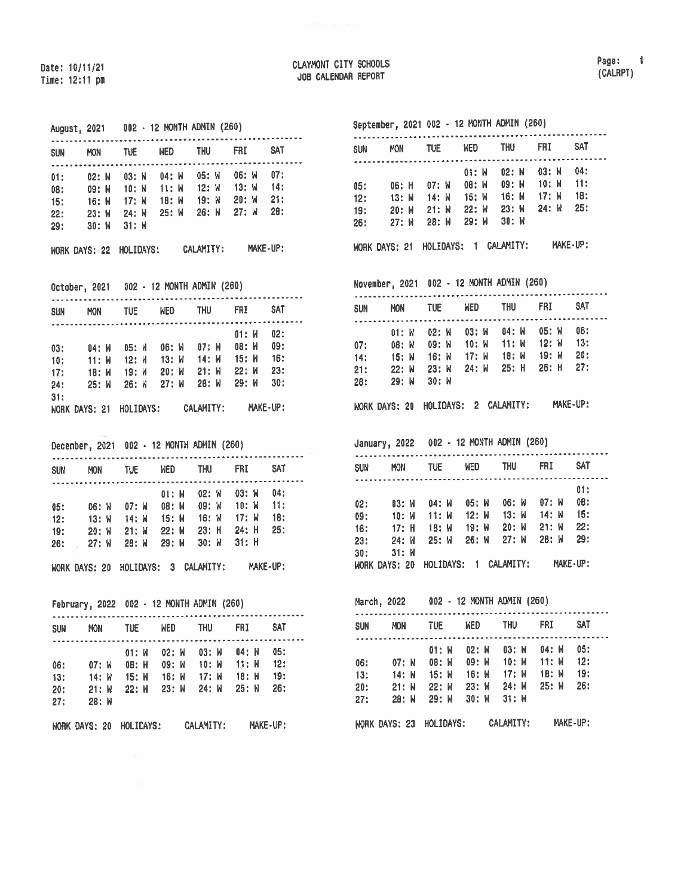|     |                 |  |   | SUN MON TUE WED THU FRI SAT                                                                                             | <b>****************</b>           |  |
|-----|-----------------|--|---|-------------------------------------------------------------------------------------------------------------------------|-----------------------------------|--|
|     |                 |  |   | 01: 02: M 03: M 04: M 05: M 06: M 07:                                                                                   |                                   |  |
|     |                 |  |   |                                                                                                                         |                                   |  |
|     |                 |  |   | 08: 09: W 10: W 11: W 12: W 13: W 14:<br>15: 16: W 17: W 18: W 19: W 20: W 21:<br>22: 23: W 24: W 25: W 26: W 27: W 28: |                                   |  |
|     |                 |  |   |                                                                                                                         |                                   |  |
|     | 29: 30: W 31: W |  |   |                                                                                                                         |                                   |  |
|     |                 |  |   | WORK DAYS: 22 HOLIDAYS: CALAMITY: MAKE-UP:                                                                              |                                   |  |
|     |                 |  |   | October, 2021 002 - 12 MONTH ADMIN (260)                                                                                |                                   |  |
|     |                 |  |   | SUN MON TUE WED THU FRI SAT                                                                                             |                                   |  |
|     |                 |  |   |                                                                                                                         | $01: M$ 02:                       |  |
|     |                 |  |   | 03: 04: W 05: W 06: W 07: W 08: W 09:                                                                                   |                                   |  |
|     |                 |  |   | 10: 11: W 12: W 13: W 14: W 15: W 16:<br>17: 18: W 19: W 20: W 21: W 22: W 23:<br>24: 25: W 26: W 27: W 28: W 29: W 30: |                                   |  |
|     |                 |  |   |                                                                                                                         |                                   |  |
|     |                 |  |   |                                                                                                                         |                                   |  |
| 31: |                 |  |   |                                                                                                                         |                                   |  |
|     |                 |  |   | WORK DAYS: 21 HOLIDAYS: CALAMITY: MAKE-UP:                                                                              |                                   |  |
|     |                 |  |   | December, 2021 002 - 12 MONTH ADMIN (260)<br>.                                                                          |                                   |  |
|     |                 |  |   | SUN MON TUE WED THU FRI SAT                                                                                             |                                   |  |
|     |                 |  |   |                                                                                                                         |                                   |  |
|     |                 |  |   | 01: N 02: W 03: W 04:<br>05: 06: N 07: N 08: N 09: W 10: N 11:                                                          |                                   |  |
|     |                 |  |   | 12: 13: W 14: W 15: W 16: W 17: W 18:                                                                                   |                                   |  |
|     |                 |  |   | 19: 20: W 21: W 22: W 23: H 24: H 25:                                                                                   |                                   |  |
|     |                 |  |   |                                                                                                                         | 26: 27: W 28: W 29: W 30: W 31: H |  |
|     |                 |  |   |                                                                                                                         |                                   |  |
|     |                 |  |   | WORK DAYS: 20 HOLIDAYS: 3 CALAMITY: MAKE-UP:                                                                            |                                   |  |
|     |                 |  |   | February, 2022 002 - 12 MONTH ADMIN (260)                                                                               |                                   |  |
|     |                 |  |   | SUN MON TUE WED THU FRI SAT                                                                                             |                                   |  |
|     |                 |  | . |                                                                                                                         |                                   |  |
|     |                 |  |   | 01: W 02: W 03: W 04: W 05:                                                                                             |                                   |  |
|     |                 |  |   | 06: 07: W 08: W 09: W 10: W 11: W 12:                                                                                   |                                   |  |
| 13: |                 |  |   |                                                                                                                         |                                   |  |
| 20: | 27: 28: W       |  |   | 14: W 15: W 16: W 17: W 18: W 19:<br>21: W 22: W 23: W 24: W 25: W 26:                                                  |                                   |  |

## September, <sup>2021</sup> <sup>002</sup> - <sup>12</sup> MONTH ADMIN (260)

| <b>SUN</b> | <b>MON</b>     | <b>TUE</b>                  | <b>WED</b>     | <b>THU</b>     | FRI              | <b>SAT</b> |  |
|------------|----------------|-----------------------------|----------------|----------------|------------------|------------|--|
|            |                |                             | 01: W          | $02:$ M        | $03:$ M          | 04:        |  |
| 05:        | 06: H          | $07:$ M                     | 08: W          | 09: W          | 10: M            | 11:        |  |
| 12:        | 13: M<br>20: M | 14: W<br>$21:$ $\mathsf{N}$ | 15: W<br>22: W | 16: W<br>23: M | $17:$ W<br>24: W | 18:<br>25: |  |
| 19:<br>26: | 27: M          | $28:$ M                     | 29: W          | 30:W           |                  |            |  |
|            | WORK DAYS: 21  | HOLIDAYS:                   | $\blacksquare$ | CALAMITY:      |                  | MAKE-UP:   |  |

November, 2021 002 - <sup>12</sup> MONTH ADMIN (260)

| sun | <b>MON</b>                          | <b>TUE</b> | <b>WED</b>        | <b>THU</b> | FRI     | <b>SAT</b> |  |
|-----|-------------------------------------|------------|-------------------|------------|---------|------------|--|
|     | $01:$ $W$                           | 02: W      | 03: W             | 04: W      | 05: W   | 06:        |  |
| 07: | 08: W                               |            | 09: W 10: W 11: W |            | 12: W   | 13:        |  |
| 14: | - 15: W                             | 16: W      | 17: W             | 18: W      | - 19: W | 20:        |  |
| 21: | 22: W                               | 23: W      | 24: W             | 25: H      | 26: H   | 27:        |  |
| 28: | 29: W                               | 30: W      |                   |            |         |            |  |
|     | WORK DAYS: 20 HOLIDAYS: 2 CALAMITY: |            |                   |            |         | MAKE-UP:   |  |

January, <sup>2022</sup> <sup>002</sup> - <sup>12</sup> MONTH ADMIN (260)

| <b>SUN</b> | <b>MON</b>           | <b>TUE</b> | <b>WED</b> | <b>THU</b> | <b>FRI</b> | <b>SAT</b> |  |
|------------|----------------------|------------|------------|------------|------------|------------|--|
|            |                      |            |            |            |            | 01:        |  |
| 02:        | 03: W                | 04: W      | $05:$ $M$  | $06:$ $M$  | $07:$ M    | 0B:        |  |
| 09:        | 10: W                | 11: M      | 12: M      | $13:$ $M$  | 14: W      | 15:        |  |
| 16:        | $17:$ H              | 18: W      | $19:$ M    | 20: M      | $21:$ W    | 22:        |  |
| 23:        | $24:$ $N$            | $25:$ $M$  | 26: W      | 27: M      | 28: W      | 29:        |  |
| 30:        | $31:$ $N$            |            |            |            |            |            |  |
|            | <b>WORK DAYS: 20</b> | HOLIDAYS:  | 1          | CALAMITY:  |            | MAKE-UP:   |  |

March, 2022 002 - 12 MONTH ADMIN (260)

| <b>SUN</b><br><b>MON</b>     | tue              | WED            | <b>THU</b>         | <b>FRI</b>     | <b>SAT</b> |  |
|------------------------------|------------------|----------------|--------------------|----------------|------------|--|
|                              | 01: W            | 02: W          | 03: W              | 04: W          | 05:        |  |
| 06:<br>07: W<br>13:<br>14: M | 08: W<br>15: W   | 09: W<br>16: M | 10: M<br>$17:$ M   | 11: W<br>1В: И | 12:<br>19: |  |
| 20:<br>21: M<br>28: W<br>27: | $22:$ M<br>29: W | 23: W<br>30: W | 24: M<br>$31:$ $M$ | 25: W          | 26:        |  |
|                              |                  |                |                    |                |            |  |
| WORK DAYS: 23                | HOLIDAYS:        |                | CALAMITY:          |                | MAKE-UP:   |  |